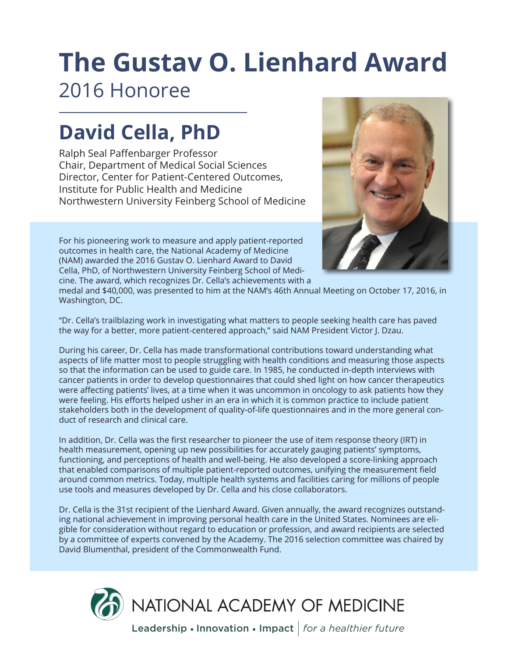# **The Gustav O. Lienhard Award** 2016 Honoree

## **David Cella, PhD**

Ralph Seal Paffenbarger Professor Chair, Department of Medical Social Sciences Director, Center for Patient-Centered Outcomes, Institute for Public Health and Medicine Northwestern University Feinberg School of Medicine



For his pioneering work to measure and apply patient-reported outcomes in health care, the National Academy of Medicine (NAM) awarded the 2016 Gustav O. Lienhard Award to David Cella, PhD, of Northwestern University Feinberg School of Medicine. The award, which recognizes Dr. Cella's achievements with a

medal and \$40,000, was presented to him at the NAM's 46th Annual Meeting on October 17, 2016, in Washington, DC.

"Dr. Cella's trailblazing work in investigating what matters to people seeking health care has paved the way for a better, more patient-centered approach," said NAM President Victor J. Dzau.

During his career, Dr. Cella has made transformational contributions toward understanding what aspects of life matter most to people struggling with health conditions and measuring those aspects so that the information can be used to guide care. In 1985, he conducted in-depth interviews with cancer patients in order to develop questionnaires that could shed light on how cancer therapeutics were affecting patients' lives, at a time when it was uncommon in oncology to ask patients how they were feeling. His efforts helped usher in an era in which it is common practice to include patient stakeholders both in the development of quality-of-life questionnaires and in the more general conduct of research and clinical care.

In addition, Dr. Cella was the first researcher to pioneer the use of item response theory (IRT) in health measurement, opening up new possibilities for accurately gauging patients' symptoms, functioning, and perceptions of health and well-being. He also developed a score-linking approach that enabled comparisons of multiple patient-reported outcomes, unifying the measurement field around common metrics. Today, multiple health systems and facilities caring for millions of people use tools and measures developed by Dr. Cella and his close collaborators.

Dr. Cella is the 31st recipient of the Lienhard Award. Given annually, the award recognizes outstanding national achievement in improving personal health care in the United States. Nominees are eligible for consideration without regard to education or profession, and award recipients are selected by a committee of experts convened by the Academy. The 2016 selection committee was chaired by David Blumenthal, president of the Commonwealth Fund.



Leadership • Innovation • Impact *for a healthier future*